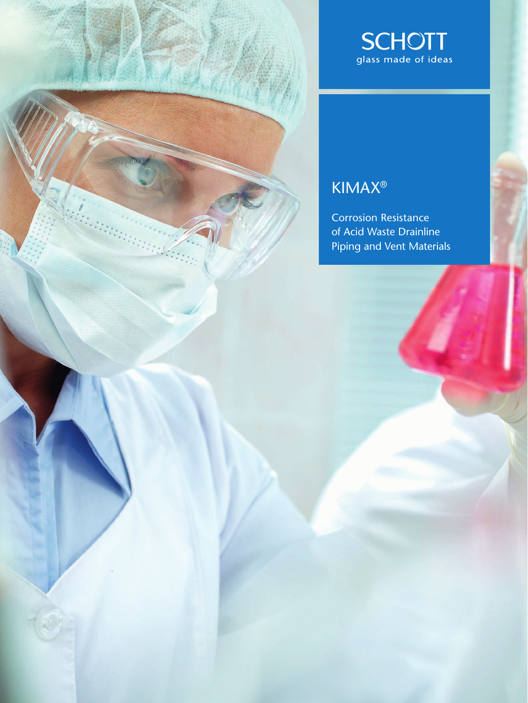

## KIMAX®

Corrosion Resistance of Acid Waste Drainline Piping and Vent Materials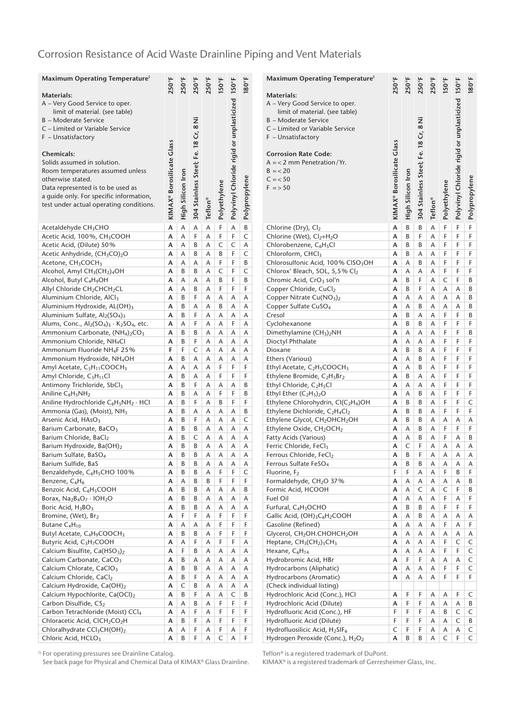### Corrosion Resistance of Acid Waste Drainline Piping and Vent Materials

| Maximum Operating Temperature <sup>1</sup>                                                                     |                           |                   |                                      |         |              |                                                 |               |
|----------------------------------------------------------------------------------------------------------------|---------------------------|-------------------|--------------------------------------|---------|--------------|-------------------------------------------------|---------------|
|                                                                                                                | 250°F                     | 250°F             | 250°F                                | 250°F   | 150°F        |                                                 | 180°F         |
| Materials:<br>A – Very Good Service to oper.                                                                   |                           |                   |                                      |         |              |                                                 |               |
| limit of material. (see table)                                                                                 |                           |                   |                                      |         |              |                                                 |               |
| B - Moderate Service                                                                                           |                           |                   |                                      |         |              |                                                 |               |
| C - Limited or Variable Service                                                                                |                           |                   |                                      |         |              |                                                 |               |
| F - Unsatisfactory                                                                                             |                           |                   |                                      |         |              |                                                 |               |
| <b>Chemicals:</b>                                                                                              | KIMAX® Borosilicate Class |                   | 304 Stainless Steel; Fe. 18 Cr, 8 Ni |         |              | Polyvinyl Chloride rigid or unplasticized 150°F |               |
| Solids assumed in solution.                                                                                    |                           |                   |                                      |         |              |                                                 |               |
| Room temperatures assumed unless                                                                               |                           |                   |                                      |         |              |                                                 |               |
| otherwise stated.                                                                                              |                           |                   |                                      |         |              |                                                 |               |
| Data represented is to be used as                                                                              |                           |                   |                                      |         |              |                                                 |               |
| a guide only. For specific information,                                                                        |                           |                   |                                      |         |              |                                                 |               |
| test under actual operating conditions.                                                                        |                           | High Silicon Iron |                                      | Teflon® | Polyethylene |                                                 | Polypropylene |
|                                                                                                                |                           |                   |                                      |         |              |                                                 |               |
| Acetaldehyde CH <sub>3</sub> CHO                                                                               | A                         | Α                 | A                                    | Α       | F            | A                                               | B             |
| Acetic Acid, 100%, CH <sub>3</sub> COOH                                                                        | A                         | A                 | F                                    | Α       | F            | F                                               | C             |
| Acetic Acid, (Dilute) 50%                                                                                      | А                         | Α                 | В                                    | Α       | C            | C                                               | Α             |
| Acetic Anhydride, (CH <sub>3</sub> CO) <sub>2</sub> O                                                          | A                         | Α                 | B                                    | Α       | B            | F                                               | C             |
| Acetone, CH <sub>3</sub> COCH <sub>3</sub><br>Alcohol, Amyl CH <sub>3</sub> (CH <sub>2</sub> ) <sub>4</sub> OH | А<br>А                    | Α<br>B            | Α<br>B                               | Α<br>Α  | F<br>C       | F<br>F                                          | В<br>C        |
| Alcohol, Butyl C <sub>4</sub> H <sub>9</sub> OH                                                                | A                         | Α                 | Α                                    | Α       | B            | F                                               | B             |
| Allyl Chloride CH2CHCH2CL                                                                                      | А                         | Α                 | B                                    | Α       | F            | F                                               | F             |
| Aluminium Chloride, AlCl3                                                                                      | А                         | B                 | F                                    | Α       | Α            | А                                               | Α             |
| Aluminium Hydroxide, AL(OH)3                                                                                   | А                         | В                 | Α                                    | Α       | B            | Α                                               | Α             |
| Aluminium Sulfate, Al2(SO <sub>4</sub> ) <sub>3</sub>                                                          | А                         | B                 | F                                    | Α       | Α            | Α                                               | Α             |
| Alums, Conc., $\text{Al}_2(\text{SO}_4)_3 \cdot \text{K}_2\text{SO}_4$ , etc.                                  | А                         | Α                 | F                                    | Α       | A            | F                                               | Α             |
| Ammonium Carbonate, (NH <sub>4</sub> ) <sub>2</sub> CO <sub>3</sub>                                            | A                         | B                 | B                                    | A       | Α            | A                                               | Α             |
| Ammonium Chloride, NH <sub>4</sub> Cl                                                                          | А                         | В                 | F                                    | Α       | Α            | Α                                               | Α             |
| Ammonium Fluoride NH <sub>4</sub> F 25%                                                                        | F<br>А                    | F                 | C<br>Α                               | Α<br>Α  | Α<br>Α       | Α<br>Α                                          | Α             |
| Ammonium Hydroxide, NH <sub>4</sub> OH<br>Amyl Acetate, C <sub>5</sub> H <sub>11</sub> COOCH <sub>3</sub>      | А                         | В<br>Α            | Α                                    | Α       | F            | F                                               | Α<br>F        |
| Amyl Chloride, C <sub>5</sub> H <sub>11</sub> Cl                                                               | A                         | B                 | A                                    | A       | F            | F                                               | F             |
| Antimony Trichloride, SbCl3                                                                                    | А                         | В                 | F                                    | Α       | А            | Α                                               | В             |
| Aniline C <sub>6</sub> H <sub>5</sub> NH <sub>2</sub>                                                          | А                         | B                 | Α                                    | Α       | F            | F                                               | B             |
| Aniline Hydrochloride C6H5NH2 · HCI                                                                            | A                         | B                 | F                                    | Α       | B            | F                                               | F             |
| Ammonia (Gas), (Moist), NH <sub>3</sub>                                                                        | А                         | В                 | Α                                    | Α       | Α            | Α                                               | B             |
| Arsenic Acid, HAsO <sub>3</sub>                                                                                | А                         | В                 | F                                    | Α       | Α            | А                                               | C             |
| Barium Carbonate, BaCO <sub>3</sub>                                                                            | A                         | В                 | B                                    | A       | Α            | Α                                               | Α             |
| Barium Chloride, BaCl2<br>Barium Hydroxide, Ba(OH)2                                                            | A<br>A                    | B<br>В            | C<br>B                               | Α<br>Α  | Α<br>Α       | A<br>A                                          | A<br>Α        |
| Barium Sulfate, BaSO <sub>4</sub>                                                                              | A                         | B                 | B                                    | A       | Α            | A                                               | Α             |
| Barium Sulfide, BaS                                                                                            | А                         | В                 | B                                    | Α       | А            | Α                                               | Α             |
| Benzaldehyde, C <sub>6</sub> H <sub>5</sub> CHO 100%                                                           | А                         | B                 | B                                    | Α       | F            | F                                               | C             |
| Benzene, C <sub>6</sub> H <sub>6</sub>                                                                         | А                         | A                 | В                                    | В       | F            | F                                               | F             |
| Benzoic Acid, C6H5COOH                                                                                         | А                         | В                 | В                                    | Α       | Α            | Α                                               | В             |
| Borax, $Na2B4O7 \cdot IOH2O$                                                                                   | А                         | B                 | B                                    | Α       | Α            | А                                               | Α             |
| Boric Acid, H <sub>3</sub> BO <sub>3</sub>                                                                     | A                         | В                 | В                                    | А       | A            | Α                                               | А             |
| Bromine, (Wet), Br2                                                                                            | A<br>А                    | F                 | F                                    | A<br>Α  | F<br>F       | F<br>F                                          | F<br>F        |
| Butane C <sub>4</sub> H <sub>10</sub><br>Butyl Acetate, C <sub>4</sub> H <sub>9</sub> COOCH <sub>3</sub>       | А                         | Α<br>В            | А<br>В                               | А       | F            | F                                               | F             |
| Butyric Acid, C <sub>3</sub> H <sub>7</sub> COOH                                                               | А                         | А                 | F                                    | А       | F            | F                                               | Α             |
| Calcium Bisulfite, Ca(HSO <sub>3</sub> ) <sub>2</sub>                                                          | A                         | F                 | B                                    | А       | А            | А                                               | Α             |
| Calcium Carbonate, CaCO <sub>3</sub>                                                                           | А                         | В                 | А                                    | Α       | Α            | А                                               | Α             |
| Calcium Chlorate, CaClO <sub>3</sub>                                                                           | A                         | В                 | B                                    | А       | A            | Α                                               | Α             |
| Calcium Chloride, CaCl2                                                                                        | A                         | В                 | F                                    | А       | A            | А                                               | Α             |
| Calcium Hydroxide, Ca(OH)2                                                                                     | А                         | $\mathsf C$       | В                                    | Α       | Α            | А                                               | Α             |
| Calcium Hypochlorite, Ca(OCl)2                                                                                 | A                         | B                 | F                                    | А       | Α            | C                                               | В             |
| Carbon Disulfide, CS2<br>Carbon Tetrachloride (Moist) CCl <sub>4</sub>                                         | A<br>А                    | А<br>А            | В<br>F                               | А<br>А  | F<br>F       | F<br>F                                          | F<br>F        |
| Chloracetic Acid, CICH <sub>2</sub> CO <sub>2</sub> H                                                          | А                         | B                 | F                                    | Α       | F            | F                                               | F             |
| Chloralhydrate CCl <sub>3</sub> CH(OH) <sub>2</sub>                                                            | А                         | А                 | F                                    | А       | F            | А                                               | F             |
| Chloric Acid, HCLO <sub>3</sub>                                                                                | А                         | В                 | F                                    | Α       | C            | А                                               | F             |
|                                                                                                                |                           |                   |                                      |         |              |                                                 |               |

| Maximum Operating Temperature <sup>1</sup>                                                                                  | 250°F                     | 250°F             | 250°F                                | 250°F   | $150^\circ$ F | Polyvinyl Chloride rigid or unplasticized 150°F | 180°F         |
|-----------------------------------------------------------------------------------------------------------------------------|---------------------------|-------------------|--------------------------------------|---------|---------------|-------------------------------------------------|---------------|
| Materials:                                                                                                                  |                           |                   |                                      |         |               |                                                 |               |
| A – Very Good Service to oper.<br>limit of material. (see table)                                                            |                           |                   |                                      |         |               |                                                 |               |
| <b>B</b> - Moderate Service                                                                                                 |                           |                   |                                      |         |               |                                                 |               |
| C – Limited or Variable Service                                                                                             |                           |                   |                                      |         |               |                                                 |               |
| F - Unsatisfactory                                                                                                          |                           |                   |                                      |         |               |                                                 |               |
| <b>Corrosion Rate Code:</b>                                                                                                 | KIMAX® Borosilicate Glass |                   | 304 Stainless Steel; Fe. 18 Cr, 8 Ni |         |               |                                                 |               |
| $A = 2$ mm Penetration/Yr.                                                                                                  |                           |                   |                                      |         |               |                                                 |               |
| $B = 20$                                                                                                                    |                           |                   |                                      |         |               |                                                 |               |
| $C = 50$                                                                                                                    |                           |                   |                                      |         |               |                                                 |               |
| $F = 50$                                                                                                                    |                           |                   |                                      |         |               |                                                 |               |
|                                                                                                                             |                           |                   |                                      |         |               |                                                 |               |
|                                                                                                                             |                           | High Silicon Iron |                                      | Teflon® | Polyethylene  |                                                 | Polypropylene |
| Chlorine (Dry), Cl2                                                                                                         | А                         | B                 | B                                    | А       | F             | F                                               | F             |
| Chlorine (Wet), Cl <sub>2+H<sub>2</sub>O</sub>                                                                              | A                         | B                 | F                                    | A       | F             | F                                               | F             |
| Chlorobenzene, C <sub>6</sub> H <sub>5</sub> Cl                                                                             | A                         | В                 | B                                    | Α       | F             | F                                               | F             |
| Chloroform, CHCl3                                                                                                           | A                         | B                 | Α                                    | Α       | F             | F                                               | F             |
| Chlorosulfonic Acid, 100% CISO <sub>3</sub> OH                                                                              | A                         | Α                 | B                                    | Α       | F             | F                                               | F             |
| Chlorox' Bleach, SOL, 5,5% Cl2                                                                                              | А                         | Α                 | Α                                    | Α       | F             | F                                               | F             |
| Chromic Acid, CrO <sub>3</sub> sol'n<br>Copper Chloride, CuCl2                                                              | A<br>A                    | B<br>B            | F<br>F                               | А<br>A  | C<br>A        | F<br>A                                          | B<br>B        |
| Copper Nitrate Cu(NO <sub>3</sub> ) <sub>2</sub>                                                                            | А                         | Α                 | Α                                    | Α       | Α             | Α                                               | В             |
| Copper Sulfate CuSO <sub>4</sub>                                                                                            | A                         | A                 | B                                    | A       | A             | A                                               | B             |
| Cresol                                                                                                                      | A                         | B                 | Α                                    | А       | F             | F                                               | B             |
| Cyclohexanone                                                                                                               | А                         | B                 | B                                    | Α       | F             | F                                               | F             |
| Dimethylamine (CH <sub>3</sub> ) <sub>2</sub> NH                                                                            | A                         | Α                 | Α                                    | Α       | F             | F                                               | B             |
| Dioctyl Phthalate                                                                                                           | A                         | Α                 | Α                                    | А       | F             | F                                               | F             |
| Dioxane<br>Ethers (Various)                                                                                                 | A<br>A                    | B<br>Α            | B<br>B                               | A<br>A  | F<br>F        | F<br>F                                          | F<br>F        |
| Ethyl Acetate, C <sub>2</sub> H <sub>5</sub> COOCH <sub>3</sub>                                                             | A                         | A                 | B                                    | A       | F             | F                                               | F             |
| Ethylene Bromide, C <sub>2</sub> H <sub>5</sub> Br <sub>2</sub>                                                             | A                         | B                 | Α                                    | А       | F             | F                                               | F             |
| Ethyl Chloride, $C_2H_5Cl$                                                                                                  | A                         | Α                 | Α                                    | A       | F             | F                                               | F             |
| Ethyl Ether $(C_2H_5)_2O$                                                                                                   | А                         | Α                 | В                                    | Α       | F             | F                                               | F             |
| Ethylene Chlorohydrin, Cl(C2H4)OH                                                                                           | A                         | B                 | В                                    | A       | F             | F                                               | C             |
| Ethylene Dichloride, C <sub>2</sub> H <sub>4</sub> Cl <sub>2</sub><br>Ethylene Glycol, CH <sub>2</sub> OHCH <sub>2</sub> OH | A<br>А                    | B<br>B            | B<br>В                               | A<br>Α  | F<br>Α        | F<br>Α                                          | F<br>Α        |
| Ethylene Oxide, CH <sub>2</sub> OCH <sub>2</sub>                                                                            | A                         | A                 | B                                    | A       | F             | F                                               | F             |
| Fatty Acids (Various)                                                                                                       | A                         | Α                 | В                                    | Α       | F             | Α                                               | B             |
| Ferric Chloride, FeCl3                                                                                                      | А                         | C                 | F                                    | Α       | Α             | Α                                               | Α             |
| Ferrous Chloride, FeCl2                                                                                                     | A                         | B                 | F                                    | A       | A             | A                                               | Α             |
| Ferrous Sulfate FeSO <sub>4</sub>                                                                                           | A                         | B                 | B                                    | A       | A             | A                                               | Α             |
| Huorine, F <sub>2</sub><br>Formaldehyde, CH <sub>2</sub> O 37%                                                              | Н.<br>A                   | Ł<br>Α            | Α<br>А                               | Α<br>А  | F.<br>А       | В<br>А                                          | F<br>В        |
| Formic Acid, HCOOH                                                                                                          | А                         | Α                 | C                                    | Α       | С             | F                                               | В             |
| Fuel Oil                                                                                                                    | А                         | A                 | А                                    | А       | F             | А                                               | F             |
| Furfural, C <sub>4</sub> H <sub>3</sub> OCHO                                                                                | A                         | В                 | В                                    | A       | F             | F                                               | F             |
| Gallic Acid, (OH)3C6H2COOH                                                                                                  | А                         | Α                 | В                                    | Α       | Α             | А                                               | А             |
| Gasoline (Refined)<br>Glycerol, CH <sub>2</sub> OH.CHOHCH <sub>2</sub> OH                                                   | A<br>A                    | A                 | Α                                    | A       | F<br>Α        | Α                                               | F             |
| Heptane, CH <sub>3</sub> (CH <sub>2</sub> ) <sub>5</sub> CH <sub>3</sub>                                                    | А                         | А<br>Α            | А<br>А                               | А<br>А  | F             | А<br>C                                          | А<br>C        |
| Hexane, C <sub>6</sub> H <sub>14</sub>                                                                                      | А                         | А                 | Α                                    | А       | F             | F                                               | C             |
| Hydrobromic Acid, HBr                                                                                                       | A                         | F                 | F                                    | А       | Α             | А                                               | C             |
| Hydrocarbons (Aliphatic)                                                                                                    | А                         | Α                 | А                                    | А       | F             | F                                               | C             |
| Hydrocarbons (Aromatic)                                                                                                     | А                         | Α                 | Α                                    | Α       | F             | F                                               | F             |
| (Check individual listing)                                                                                                  |                           |                   |                                      |         |               |                                                 |               |
| Hydrochloric Acid (Conc.), HCI<br>Hydrochloric Acid (Dilute)                                                                | А<br>А                    | F<br>F            | F<br>F                               | Α<br>Α  | А<br>Α        | F<br>А                                          | C<br>В        |
| Hydrofluoric Acid (Conc.), HF                                                                                               | F                         | F                 | F                                    | Α       | B             | C                                               | C             |
| Hydrofluoric Acid (Dilute)                                                                                                  | F                         | F                 | F                                    | Α       | Α             | C                                               | В             |
| Hydrofluosilicic Acid, H2SIF <sub>6</sub>                                                                                   | $\mathsf{C}$              | F                 | F                                    | Α       | Α             | А                                               | C             |
| Hydrogen Peroxide (Conc.), H <sub>2</sub> O <sub>2</sub>                                                                    | А                         | В                 | B                                    | А       | C             | F                                               | C             |

<sup>1)</sup> For operating pressures see Drainline Catalog.

See back page for Physical and Chemical Data of KIMAX® Glass Drainline.

Teflon® is a registered trademark of DuPont.

KIMAX® is a registered trademark of Gerresheimer Glass, Inc.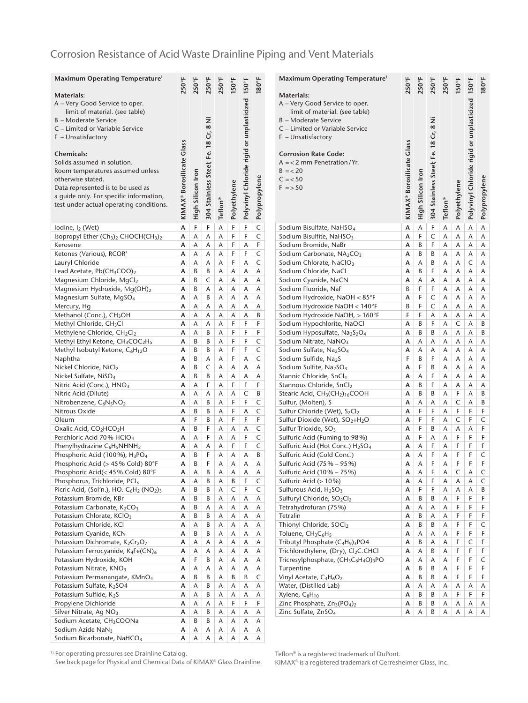### Corrosion Resistance of Acid Waste Drainline Piping and Vent Materials

| <b>Maximum Operating Temperature</b> <sup>1</sup>                                        | 250°F                     | 250°F             | 250°F                                | 250°F   | 150°F        |                                                 | 180°F         |  |
|------------------------------------------------------------------------------------------|---------------------------|-------------------|--------------------------------------|---------|--------------|-------------------------------------------------|---------------|--|
|                                                                                          |                           |                   |                                      |         |              | Polyvinyl Chloride rigid or unplasticized 150°F |               |  |
| Materials:<br>A – Very Good Service to oper.                                             |                           |                   |                                      |         |              |                                                 |               |  |
| limit of material. (see table)                                                           |                           |                   |                                      |         |              |                                                 |               |  |
| <b>B</b> - Moderate Service                                                              |                           |                   |                                      |         |              |                                                 |               |  |
| C - Limited or Variable Service                                                          |                           |                   |                                      |         |              |                                                 |               |  |
| F - Unsatisfactory                                                                       |                           |                   |                                      |         |              |                                                 |               |  |
|                                                                                          | KIMAX® Borosilicate Glass |                   | 304 Stainless Steel; Fe. 18 Cr, 8 Ni |         |              |                                                 |               |  |
| Chemicals:                                                                               |                           |                   |                                      |         |              |                                                 |               |  |
| Solids assumed in solution.                                                              |                           |                   |                                      |         |              |                                                 |               |  |
| Room temperatures assumed unless                                                         |                           |                   |                                      |         |              |                                                 |               |  |
| otherwise stated.<br>Data represented is to be used as                                   |                           |                   |                                      |         |              |                                                 |               |  |
| a guide only. For specific information,                                                  |                           |                   |                                      |         |              |                                                 |               |  |
| test under actual operating conditions.                                                  |                           |                   |                                      |         |              |                                                 |               |  |
|                                                                                          |                           | High Silicon Iron |                                      | Teflon® | Polyethylene |                                                 | Polypropylene |  |
|                                                                                          |                           |                   |                                      |         |              |                                                 |               |  |
| Iodine, I <sub>2</sub> (Wet)                                                             | A                         | F                 | F                                    | A       | F            | F                                               | C             |  |
| Isopropyl Ether (Ch <sub>3</sub> ) <sub>2</sub> CHOCH(CH <sub>3</sub> ) <sub>2</sub>     | А                         | Α                 | Α                                    | Α       | F            | F                                               | C             |  |
| Kerosene                                                                                 | A                         | Α                 | A                                    | Α       | F            | A<br>F                                          | F             |  |
| Ketones (Various), RCOR'                                                                 | A                         | Α                 | Α                                    | Α       | F            |                                                 | C             |  |
| Lauryl Chloride<br>Lead Acetate, Pb(CH3COO)2                                             | А<br>A                    | Α<br>B            | Α<br>B                               | Α<br>Α  | F<br>A       | Α<br>Α                                          | C<br>A        |  |
| Magnesium Chloride, MgCl <sub>2</sub>                                                    | A                         | В                 | C                                    | Α       | Α            | А                                               | А             |  |
| Magnesium Hydroxide, Mg(OH)2                                                             | А                         | B                 | Α                                    | Α       | Α            | А                                               | А             |  |
| Magnesium Sulfate, MgSO <sub>4</sub>                                                     | А                         | Α                 | B                                    | Α       | Α            | Α                                               | Α             |  |
| Mercury, Hg                                                                              | А                         | Α                 | Α                                    | Α       | Α            | Α                                               | A             |  |
| Methanol (Conc.), CH <sub>3</sub> OH                                                     | A                         | Α                 | A                                    | A       | Α            | A                                               | B             |  |
| Methyl Chloride, CH <sub>3</sub> Cl                                                      | А                         | Α                 | Α                                    | Α       | F            | F                                               | F             |  |
| Methylene Chloride, CH2Cl2                                                               | А                         | Α                 | B                                    | Α       | F            | F                                               | F             |  |
| Methyl Ethyl Ketone, CH3COC2H5                                                           | А                         | B                 | B                                    | Α       | F            | F                                               | C             |  |
| Methyl Isobutyl Ketone, C6H12O                                                           | А                         | B                 | В                                    | Α       | F            | F                                               | C             |  |
| Naphtha                                                                                  | А                         | B                 | Α                                    | Α       | F            | Α                                               | C             |  |
| Nickel Chloride, NiCl2                                                                   | A                         | B                 | C                                    | A       | Α            | A                                               | A             |  |
| Nickel Sulfate, NiSO <sub>4</sub>                                                        | A                         | B                 | B                                    | A       | A            | A                                               | A             |  |
| Nitric Acid (Conc.), HNO <sub>3</sub>                                                    | А                         | Α                 | F                                    | Α       | F            | F                                               | F             |  |
| Nitric Acid (Dilute)                                                                     | A                         | A                 | A                                    | Α       | A            | C                                               | B             |  |
| Nitrobenzene, C <sub>6</sub> N <sub>5</sub> NO <sub>2</sub>                              | A                         | Α                 | В                                    | Α       | F            | F                                               | C             |  |
| Nitrous Oxide                                                                            | А                         | B<br>F            | В                                    | Α       | F<br>F       | Α<br>F                                          | C<br>F        |  |
| Oleum                                                                                    | А<br>A                    | B                 | B<br>F                               | Α<br>Α  | А            | А                                               | C             |  |
| Oxalic Acid, CO2HCO2H<br>Perchloric Acid 70% HClO <sub>4</sub>                           | A                         | Α                 | F                                    | A       | Α            | F                                               | C             |  |
| Phenylhydrazine C <sub>6</sub> H <sub>5</sub> NHNH <sub>2</sub>                          | А                         | Α                 | Α                                    | Α       | F            | F                                               | C             |  |
| Phosphoric Acid (100%), H <sub>3</sub> PO <sub>4</sub>                                   | А                         | В                 | F                                    | Α       | Α            | Α                                               | B             |  |
| Phosphoric Acid (> 45% Cold) 80°F                                                        | А                         | B                 | F                                    | Α       | А            | Α                                               | Α             |  |
| Phosphoric Acid(< 45% Cold) 80°F                                                         | A                         | A                 | B                                    | Α       | А            | Α                                               | А             |  |
| Phosphorus, Trichloride, PCI <sub>3</sub>                                                | А                         | Α                 | В                                    | Α       | В            | F                                               | C             |  |
| Picric Acid, (Sol'n.), HO. C <sub>6</sub> H <sub>2</sub> (NO <sub>2</sub> ) <sub>3</sub> | А                         | B                 | В                                    | Α       | C            | F                                               | C             |  |
| Potassium Bromide, KBr                                                                   | А                         | В                 | B                                    | А       | Α            | А                                               | Α             |  |
| Potassium Carbonate, K2CO <sub>3</sub>                                                   | А                         | В                 | А                                    | Α       | Α            | А                                               | Α             |  |
| Potassium Chlorate, KClO <sub>3</sub>                                                    | А                         | В                 | В                                    | А       | Α            | Α                                               | Α             |  |
| Potassium Chloride, KCl                                                                  | A                         | А                 | В                                    | А       | Α            | А                                               | Α             |  |
| Potassium Cyanide, KCN                                                                   | А                         | В                 | В                                    | А       | Α            | А                                               | Α             |  |
| Potassium Dichromate, K2Cr2O7<br>Potassium Ferrocyanide, K4Fe(CN) <sub>6</sub>           | А                         | А                 | Α                                    | Α       | Α            | Α                                               | Α             |  |
| Potassium Hydroxide, KOH                                                                 | А<br>А                    | А<br>F            | А<br>В                               | А<br>А  | Α<br>Α       | А<br>А                                          | Α<br>А        |  |
| Potassium Nitrate, KNO <sub>3</sub>                                                      | А                         | А                 | Α                                    | Α       | А            | А                                               | Α             |  |
| Potassium Permanangate, KMnO <sub>4</sub>                                                | А                         | В                 | В                                    | А       | В            | В                                               | C             |  |
| Potassium Sulfate, K2SO4                                                                 | А                         | А                 | В                                    | А       | Α            | А                                               | А             |  |
| Potassium Sulfide, K2S                                                                   | А                         | Α                 | В                                    | А       | А            | Α                                               | Α             |  |
| Propylene Dichloride                                                                     | А                         | Α                 | А                                    | Α       | F            | F                                               | F             |  |
| Silver Nitrate, Ag NO <sub>3</sub>                                                       | А                         | А                 | В                                    | А       | А            | Α                                               | А             |  |
| Sodium Acetate, CH <sub>3</sub> COONa                                                    | А                         | B                 | B                                    | А       | А            | А                                               | Α             |  |
| Sodium Azide NaN <sub>3</sub>                                                            | А                         | Α                 | Α                                    | Α       | Α            | Α                                               | Α             |  |
| Sodium Bicarbonate, NaHCO <sub>3</sub>                                                   | А                         | А                 | Α                                    | Α       | Α            | Α                                               | Α             |  |

| Maximum Operating Temperature <sup>1</sup>                                                                 | 250°F                     | 250°F             | 250°F                                | 250°F   | 150°F        |                                                 | 180°F         |
|------------------------------------------------------------------------------------------------------------|---------------------------|-------------------|--------------------------------------|---------|--------------|-------------------------------------------------|---------------|
| Materials:                                                                                                 |                           |                   |                                      |         |              | Polyvinyl Chloride rigid or unplasticized 150°F |               |
| A - Very Good Service to oper.                                                                             |                           |                   |                                      |         |              |                                                 |               |
| limit of material. (see table)                                                                             |                           |                   |                                      |         |              |                                                 |               |
| <b>B</b> - Moderate Service                                                                                |                           |                   |                                      |         |              |                                                 |               |
| C - Limited or Variable Service                                                                            |                           |                   |                                      |         |              |                                                 |               |
| F - Unsatisfactory                                                                                         |                           |                   |                                      |         |              |                                                 |               |
| <b>Corrosion Rate Code:</b>                                                                                | KIMAX® Borosilicate Glass |                   | 304 Stainless Steel; Fe. 18 Cr, 8 Ni |         |              |                                                 |               |
| $A = 2$ mm Penetration/Yr.                                                                                 |                           |                   |                                      |         |              |                                                 |               |
| $B = 20$                                                                                                   |                           |                   |                                      |         |              |                                                 |               |
| $C = 50$                                                                                                   |                           | High Silicon Iron |                                      |         |              |                                                 |               |
| $F = 50$                                                                                                   |                           |                   |                                      |         | Polyethylene |                                                 | Polypropylene |
|                                                                                                            |                           |                   |                                      |         |              |                                                 |               |
|                                                                                                            |                           |                   |                                      | Teflon® |              |                                                 |               |
|                                                                                                            |                           |                   |                                      |         |              |                                                 |               |
| Sodium Bisulfate, NaHSO <sub>4</sub>                                                                       | A                         | Α                 | F                                    | Α       | Α            | A                                               | A             |
| Sodium Bisulfite, NaHSO <sub>3</sub>                                                                       | A                         | F                 | $\mathsf{C}$                         | Α       | A            | Α                                               | A             |
| Sodium Bromide, NaBr                                                                                       | А                         | В                 | F                                    | Α       | Α            | Α                                               | Α             |
| Sodium Carbonate, NA <sub>2</sub> CO <sub>3</sub>                                                          | A                         | B                 | B                                    | Α       | A            | Α                                               | Α             |
| Sodium Chlorate, NaClO <sub>3</sub>                                                                        | A                         | Α                 | B                                    | A       | A            | C                                               | Α             |
| Sodium Chloride, NaCl                                                                                      | А                         | B                 | F                                    | Α       | Α            | Α                                               | Α             |
| Sodium Cyanide, NaCN                                                                                       | A                         | A                 | Α                                    | A       | A            | A                                               | Α             |
| Sodium Fluoride, NaF                                                                                       | B<br>А                    | F<br>F            | F<br>C                               | Α       | Α<br>Α       | Α<br>Α                                          | Α<br>Α        |
| Sodium Hydroxide, NaOH < 85°F<br>Sodium Hydroxide NaOH < 140°F                                             | В                         | F                 | C                                    | Α<br>Α  | Α            | Α                                               | Α             |
| Sodium Hydroxide NaOH, > 160°F                                                                             | F                         | F                 | Α                                    | Α       | Α            | Α                                               | Α             |
| Sodium Hypochlorite, NaOCl                                                                                 | A                         | B                 | F                                    | Α       | C            | Α                                               | B             |
| Sodium Hyposulfate, Na2S2O <sub>4</sub>                                                                    | А                         | B                 | B                                    | Α       | Α            | Α                                               | В             |
| Sodium Nitrate, NaNO <sub>3</sub>                                                                          | А                         | Α                 | Α                                    | Α       | Α            | Α                                               | Α             |
| Sodium Sulfate, Na2SO <sub>4</sub>                                                                         | A                         | A                 | Α                                    | Α       | Α            | Α                                               | Α             |
| Sodium Sulfide, Na2S                                                                                       | F                         | B                 | F                                    | Α       | A            | Α                                               | Α             |
| Sodium Sulfite, Na2SO3                                                                                     | А                         | F                 | В                                    | Α       | Α            | Α                                               | Α             |
| Stannic Chloride, SnCl <sub>4</sub>                                                                        | A                         | A                 | F                                    | A       | A            | A                                               | Α             |
| Stannous Chloride, SnCl2                                                                                   | A                         | B                 | F                                    | A       | A            | A                                               | Α             |
| Stearic Acid, CH <sub>3</sub> (CH <sub>2</sub> ) <sub>16</sub> COOH                                        | А                         | В                 | В                                    | Α       | F            | Α                                               | В             |
| Sulfur, (Molten), S                                                                                        | A                         | A                 | Α                                    | Α       | C            | A                                               | В             |
| Sulfur Chloride (Wet), S <sub>2</sub> Cl <sub>2</sub>                                                      | А                         | F                 | F                                    | Α       | F            | F                                               | F             |
| Sulfur Dioxide (Wet), SO <sub>2</sub> +H <sub>2</sub> O<br>Sulfur Trioxide, SO <sub>3</sub>                | А<br>A                    | F<br>F            | F<br>B                               | Α<br>A  | C<br>A       | F<br>A                                          | C<br>F        |
| Sulfuric Acid (Fuming to 98%)                                                                              | А                         | F                 | Α                                    | Α       | F            | F                                               | F             |
| Sulfuric Acid (Hot Conc.) H <sub>2</sub> SO <sub>4</sub>                                                   | А                         | А                 | F                                    | A       | F            | F                                               | F             |
| Sulfuric Acid (Cold Conc.)                                                                                 | A                         | Α                 | F                                    | Α       | F            | F                                               | $\mathsf{C}$  |
| Sulfuric Acid (75% - 95%)                                                                                  | A                         | Α                 | F                                    | Α       | F            | F                                               | F             |
| Sulfuric Acid (10% – 75%)                                                                                  | А                         | Α                 | F                                    | Α       | C            | Α                                               | C             |
| Sulfuric Acid (> 10%)                                                                                      | А                         | А                 | F                                    | Α       | А            | А                                               | C             |
| Sulfurous Acid, H <sub>2</sub> SO <sub>3</sub>                                                             | А                         | F                 | F                                    | Α       | Α            | Α                                               | В             |
| Sulfuryl Chloride, SO <sub>2</sub> Cl <sub>2</sub>                                                         | А                         | B                 | B                                    | Α       | F            | F                                               | F             |
| Tetrahydrofuran (75%)                                                                                      | А                         | A                 | Α                                    | Α       | F            | F                                               | F             |
| <b>Tetralin</b>                                                                                            | А                         | В                 | Α                                    | Α       | F            | F                                               | F             |
| Thionyl Chloride, SOCl2                                                                                    | А<br>A                    | B                 | В                                    | Α       | F<br>F       | F<br>F                                          | $\mathsf C$   |
| Toluene, CH <sub>3</sub> C <sub>6</sub> H <sub>5</sub>                                                     |                           | А                 | А                                    | Α       | F            | C                                               | F<br>F        |
| Tributyl Phosphate (C <sub>4</sub> H <sub>9</sub> ) <sub>3</sub> PO4<br>Trichlorethylene, (Dry), Cl2C.CHCl | А<br>А                    | В<br>А            | Α<br>В                               | Α<br>Α  | F            | F                                               | F             |
| Tricresylphosphate, (CH <sub>3</sub> C <sub>6</sub> H <sub>4</sub> O) <sub>3</sub> PO                      | A                         | А                 | Α                                    | А       | F            | F                                               | C             |
| Turpentine                                                                                                 | А                         | В                 | В                                    | Α       | F            | F                                               | F             |
| Vinyl Acetate, C <sub>4</sub> H <sub>6</sub> O <sub>2</sub>                                                | А                         | B                 | В                                    | А       | F            | F                                               | F             |
| Water, (Distilled Lab)                                                                                     | А                         | А                 | Α                                    | Α       | А            | Α                                               | Α             |
| Xylene, C <sub>8</sub> H <sub>10</sub>                                                                     | А                         | В                 | B                                    | Α       | F            | F                                               | F             |
| Zinc Phosphate, Zn <sub>3</sub> (PO <sub>4</sub> ) <sub>2</sub>                                            | А                         | В                 | В                                    | Α       | Α            | А                                               | Α             |
| Zinc Sulfate, ZnSO <sub>4</sub>                                                                            | А                         | А                 | В                                    | Α       | А            | Α                                               | Α             |

<sup>1)</sup> For operating pressures see Drainline Catalog.

See back page for Physical and Chemical Data of KIMAX® Glass Drainline.

Teflon® is a registered trademark of DuPont.

KIMAX® is a registered trademark of Gerresheimer Glass, Inc.